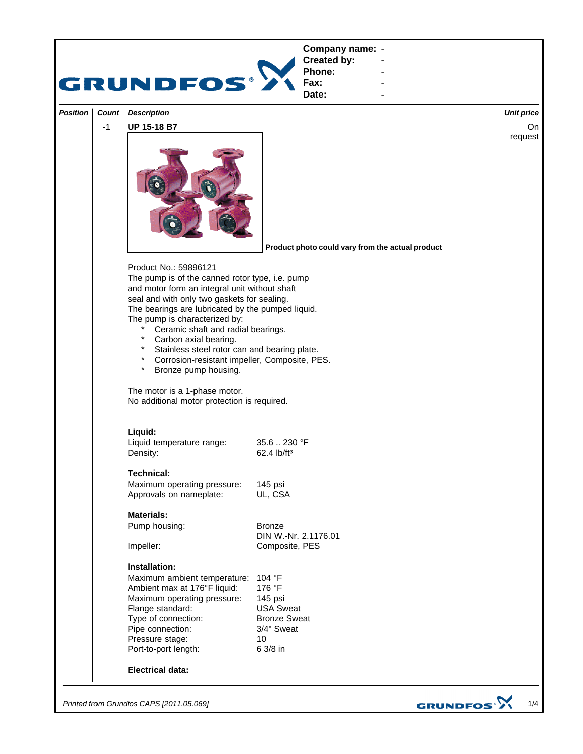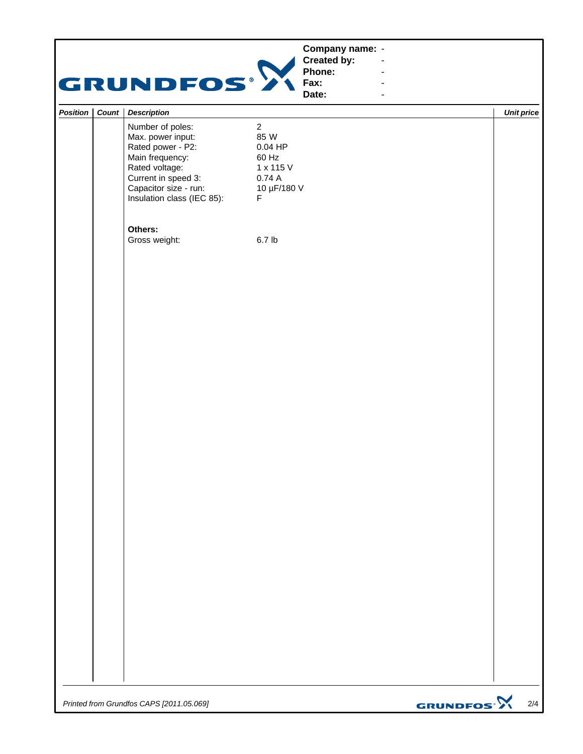|          |           | GRUNDFOS®                                                                                                                                                                     | Company name: -<br>Created by:<br>Phone:<br>Fax:<br>Date:                                        | ÷,<br>L,<br>ä,               |                   |
|----------|-----------|-------------------------------------------------------------------------------------------------------------------------------------------------------------------------------|--------------------------------------------------------------------------------------------------|------------------------------|-------------------|
| Position | Count $ $ | <b>Description</b>                                                                                                                                                            |                                                                                                  |                              | <b>Unit price</b> |
|          |           | Number of poles:<br>Max. power input:<br>Rated power - P2:<br>Main frequency:<br>Rated voltage:<br>Current in speed 3:<br>Capacitor size - run:<br>Insulation class (IEC 85): | $\overline{2}$<br>85 W<br>$0.04$ HP<br>60 Hz<br>1 x 115 V<br>0.74A<br>10 µF/180 V<br>$\mathsf F$ |                              |                   |
|          |           | Others:<br>Gross weight:                                                                                                                                                      | 6.7 <sub>lb</sub>                                                                                |                              |                   |
|          |           |                                                                                                                                                                               |                                                                                                  |                              |                   |
|          |           |                                                                                                                                                                               |                                                                                                  |                              |                   |
|          |           |                                                                                                                                                                               |                                                                                                  |                              |                   |
|          |           |                                                                                                                                                                               |                                                                                                  |                              |                   |
|          |           |                                                                                                                                                                               |                                                                                                  |                              |                   |
|          |           |                                                                                                                                                                               |                                                                                                  |                              |                   |
|          |           |                                                                                                                                                                               |                                                                                                  |                              |                   |
|          |           | Printed from Grundfos CAPS [2011.05.069]                                                                                                                                      |                                                                                                  | <b>GRUNDFOS<sup>.</sup>X</b> | 2/4               |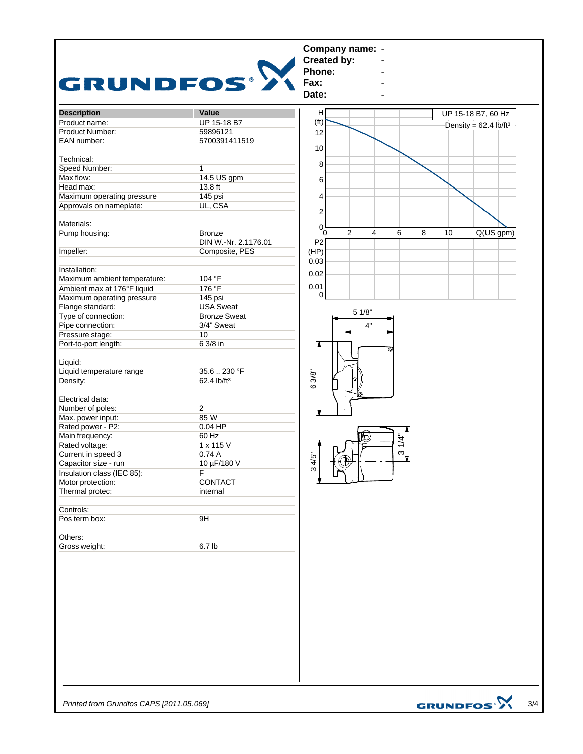